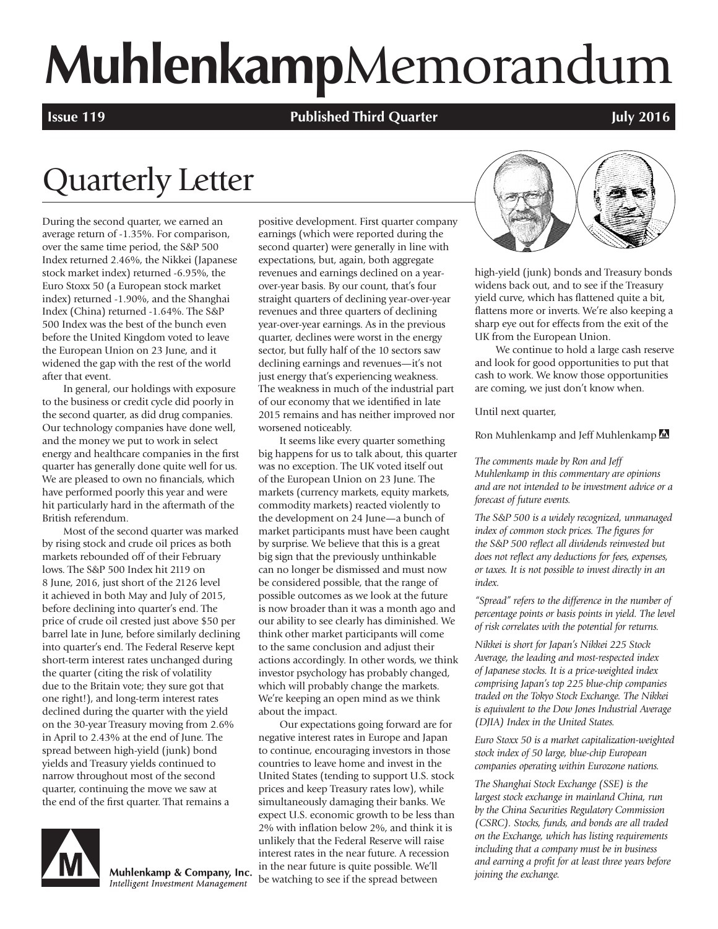# **Muhlenkamp**Memorandum

**Issue 119 Published Third Quarter All 2016 July 2016** 

## Quarterly Letter

During the second quarter, we earned an average return of -1.35%. For comparison, over the same time period, the S&P 500 Index returned 2.46%, the Nikkei (Japanese stock market index) returned -6.95%, the Euro Stoxx 50 (a European stock market index) returned -1.90%, and the Shanghai Index (China) returned -1.64%. The S&P 500 Index was the best of the bunch even before the United Kingdom voted to leave the European Union on 23 June, and it widened the gap with the rest of the world after that event.

In general, our holdings with exposure to the business or credit cycle did poorly in the second quarter, as did drug companies. Our technology companies have done well, and the money we put to work in select energy and healthcare companies in the first quarter has generally done quite well for us. We are pleased to own no financials, which have performed poorly this year and were hit particularly hard in the aftermath of the British referendum.

Most of the second quarter was marked by rising stock and crude oil prices as both markets rebounded off of their February lows. The S&P 500 Index hit 2119 on 8 June, 2016, just short of the 2126 level it achieved in both May and July of 2015, before declining into quarter's end. The price of crude oil crested just above \$50 per barrel late in June, before similarly declining into quarter's end. The Federal Reserve kept short-term interest rates unchanged during the quarter (citing the risk of volatility due to the Britain vote; they sure got that one right!), and long-term interest rates declined during the quarter with the yield on the 30-year Treasury moving from 2.6% in April to 2.43% at the end of June. The spread between high-yield (junk) bond yields and Treasury yields continued to narrow throughout most of the second quarter, continuing the move we saw at the end of the first quarter. That remains a



Muhlenkamp & Company, Inc. Intelligent Investment Management

positive development. First quarter company earnings (which were reported during the second quarter) were generally in line with expectations, but, again, both aggregate revenues and earnings declined on a yearover-year basis. By our count, that's four straight quarters of declining year-over-year revenues and three quarters of declining year-over-year earnings. As in the previous quarter, declines were worst in the energy sector, but fully half of the 10 sectors saw declining earnings and revenues—it's not just energy that's experiencing weakness. The weakness in much of the industrial part of our economy that we identified in late 2015 remains and has neither improved nor worsened noticeably.

It seems like every quarter something big happens for us to talk about, this quarter was no exception. The UK voted itself out of the European Union on 23 June. The markets (currency markets, equity markets, commodity markets) reacted violently to the development on 24 June—a bunch of market participants must have been caught by surprise. We believe that this is a great big sign that the previously unthinkable can no longer be dismissed and must now be considered possible, that the range of possible outcomes as we look at the future is now broader than it was a month ago and our ability to see clearly has diminished. We think other market participants will come to the same conclusion and adjust their actions accordingly. In other words, we think investor psychology has probably changed, which will probably change the markets. We're keeping an open mind as we think about the impact.

Our expectations going forward are for negative interest rates in Europe and Japan to continue, encouraging investors in those countries to leave home and invest in the United States (tending to support U.S. stock prices and keep Treasury rates low), while simultaneously damaging their banks. We expect U.S. economic growth to be less than 2% with inflation below 2%, and think it is unlikely that the Federal Reserve will raise interest rates in the near future. A recession in the near future is quite possible. We'll be watching to see if the spread between



high-yield (junk) bonds and Treasury bonds widens back out, and to see if the Treasury yield curve, which has flattened quite a bit, flattens more or inverts. We're also keeping a sharp eye out for effects from the exit of the UK from the European Union.

We continue to hold a large cash reserve and look for good opportunities to put that cash to work. We know those opportunities are coming, we just don't know when.

Until next quarter,

Ron Muhlenkamp and Jeff Muhlenkamp

*The comments made by Ron and Jeff Muhlenkamp in this commentary are opinions and are not intended to be investment advice or a forecast of future events.*

*The S&P 500 is a widely recognized, unmanaged index of common stock prices. The figures for the S&P 500 reflect all dividends reinvested but does not reflect any deductions for fees, expenses, or taxes. It is not possible to invest directly in an index.*

*"Spread" refers to the difference in the number of percentage points or basis points in yield. The level of risk correlates with the potential for returns.*

*Nikkei is short for Japan's Nikkei 225 Stock Average, the leading and most-respected index of Japanese stocks. It is a price-weighted index comprising Japan's top 225 blue-chip companies traded on the Tokyo Stock Exchange. The Nikkei is equivalent to the Dow Jones Industrial Average (DJIA) Index in the United States.*

*Euro Stoxx 50 is a market capitalization-weighted stock index of 50 large, blue-chip European companies operating within Eurozone nations.* 

*The Shanghai Stock Exchange (SSE) is the largest stock exchange in mainland China, run by the China Securities Regulatory Commission (CSRC). Stocks, funds, and bonds are all traded on the Exchange, which has listing requirements including that a company must be in business and earning a profit for at least three years before joining the exchange.*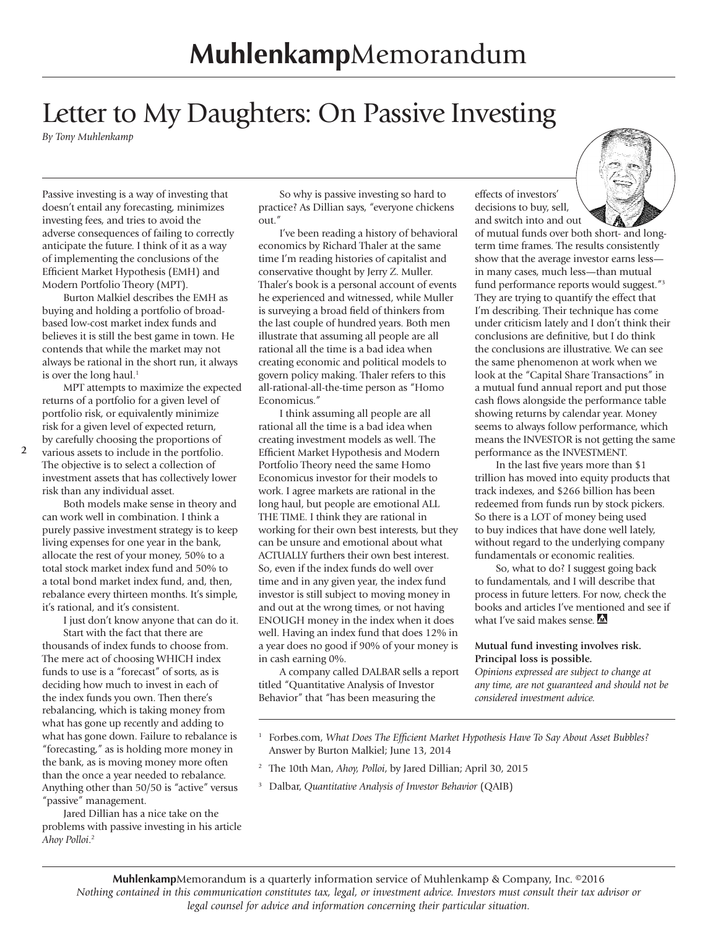## Letter to My Daughters: On Passive Investing

*By Tony Muhlenkamp*

Passive investing is a way of investing that doesn't entail any forecasting, minimizes investing fees, and tries to avoid the adverse consequences of failing to correctly anticipate the future. I think of it as a way of implementing the conclusions of the Efficient Market Hypothesis (EMH) and Modern Portfolio Theory (MPT).

Burton Malkiel describes the EMH as buying and holding a portfolio of broadbased low-cost market index funds and believes it is still the best game in town. He contends that while the market may not always be rational in the short run, it always is over the long haul. $<sup>1</sup>$ </sup>

MPT attempts to maximize the expected returns of a portfolio for a given level of portfolio risk, or equivalently minimize risk for a given level of expected return, by carefully choosing the proportions of

various assets to include in the portfolio. The objective is to select a collection of investment assets that has collectively lower risk than any individual asset.

Both models make sense in theory and can work well in combination. I think a purely passive investment strategy is to keep living expenses for one year in the bank, allocate the rest of your money, 50% to a total stock market index fund and 50% to a total bond market index fund, and, then, rebalance every thirteen months. It's simple, it's rational, and it's consistent.

I just don't know anyone that can do it. Start with the fact that there are thousands of index funds to choose from. The mere act of choosing WHICH index funds to use is a "forecast" of sorts, as is deciding how much to invest in each of the index funds you own. Then there's rebalancing, which is taking money from what has gone up recently and adding to what has gone down. Failure to rebalance is "forecasting," as is holding more money in the bank, as is moving money more often than the once a year needed to rebalance. Anything other than 50/50 is "active" versus "passive" management.

Jared Dillian has a nice take on the problems with passive investing in his article *Ahoy Polloi*. 2

So why is passive investing so hard to practice? As Dillian says, "everyone chickens out."

I've been reading a history of behavioral economics by Richard Thaler at the same time I'm reading histories of capitalist and conservative thought by Jerry Z. Muller. Thaler's book is a personal account of events he experienced and witnessed, while Muller is surveying a broad field of thinkers from the last couple of hundred years. Both men illustrate that assuming all people are all rational all the time is a bad idea when creating economic and political models to govern policy making. Thaler refers to this all-rational-all-the-time person as "Homo Economicus."

I think assuming all people are all rational all the time is a bad idea when creating investment models as well. The Efficient Market Hypothesis and Modern Portfolio Theory need the same Homo Economicus investor for their models to work. I agree markets are rational in the long haul, but people are emotional ALL THE TIME. I think they are rational in working for their own best interests, but they can be unsure and emotional about what ACTUALLY furthers their own best interest. So, even if the index funds do well over time and in any given year, the index fund investor is still subject to moving money in and out at the wrong times, or not having ENOUGH money in the index when it does well. Having an index fund that does 12% in a year does no good if 90% of your money is in cash earning 0%.

A company called DALBAR sells a report titled "Quantitative Analysis of Investor Behavior" that "has been measuring the

decisions to buy, sell, and switch into and out of mutual funds over both short- and longterm time frames. The results consistently show that the average investor earns less in many cases, much less—than mutual fund performance reports would suggest."3 They are trying to quantify the effect that I'm describing. Their technique has come under criticism lately and I don't think their conclusions are definitive, but I do think the conclusions are illustrative. We can see the same phenomenon at work when we look at the "Capital Share Transactions" in a mutual fund annual report and put those cash flows alongside the performance table showing returns by calendar year. Money seems to always follow performance, which means the INVESTOR is not getting the same performance as the INVESTMENT.

effects of investors'

In the last five years more than \$1 trillion has moved into equity products that track indexes, and \$266 billion has been redeemed from funds run by stock pickers. So there is a LOT of money being used to buy indices that have done well lately, without regard to the underlying company fundamentals or economic realities.

So, what to do? I suggest going back to fundamentals, and I will describe that process in future letters. For now, check the books and articles I've mentioned and see if what I've said makes sense. M

#### **Mutual fund investing involves risk. Principal loss is possible.**

*Opinions expressed are subject to change at any time, are not guaranteed and should not be considered investment advice.*

- 1 Forbes.com, *What Does The Efficient Market Hypothesis Have To Say About Asset Bubbles?* Answer by Burton Malkiel; June 13, 2014
- <sup>2</sup> The 10th Man, *Ahoy, Polloi*, by Jared Dillian; April 30, 2015
- <sup>3</sup> Dalbar, *Quantitative Analysis of Investor Behavior* (QAIB)

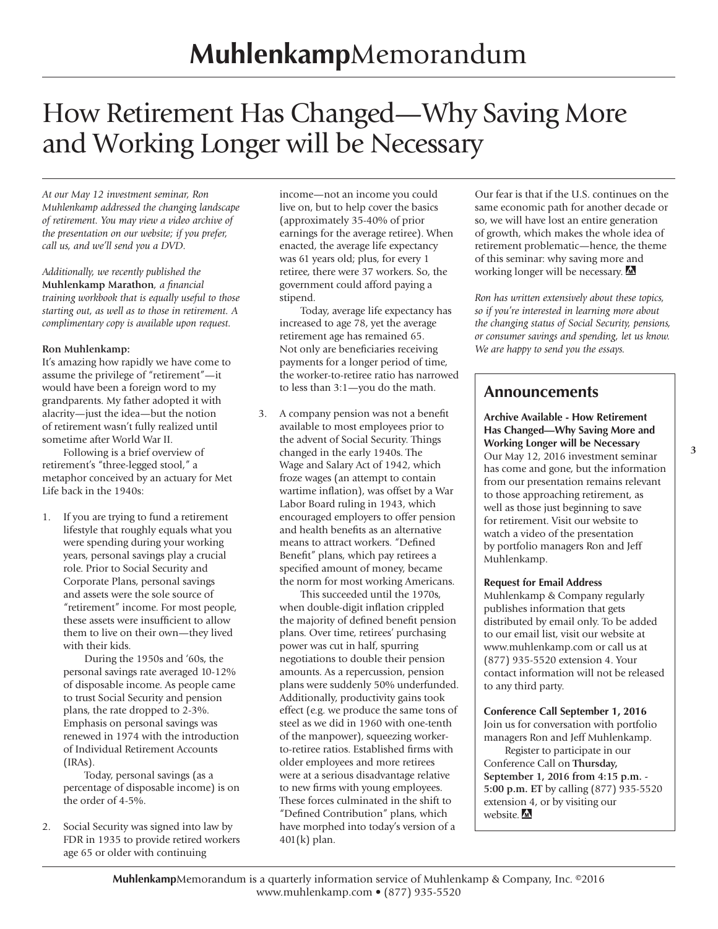## How Retirement Has Changed—Why Saving More and Working Longer will be Necessary

*At our May 12 investment seminar, Ron Muhlenkamp addressed the changing landscape of retirement. You may view a video archive of the presentation on our website; if you prefer, call us, and we'll send you a DVD.*

*Additionally, we recently published the*  **Muhlenkamp Marathon***, a financial training workbook that is equally useful to those starting out, as well as to those in retirement. A complimentary copy is available upon request.*

#### **Ron Muhlenkamp:**

It's amazing how rapidly we have come to assume the privilege of "retirement"—it would have been a foreign word to my grandparents. My father adopted it with alacrity—just the idea—but the notion of retirement wasn't fully realized until sometime after World War II.

Following is a brief overview of retirement's "three-legged stool," a metaphor conceived by an actuary for Met Life back in the 1940s:

1. If you are trying to fund a retirement lifestyle that roughly equals what you were spending during your working years, personal savings play a crucial role. Prior to Social Security and Corporate Plans, personal savings and assets were the sole source of "retirement" income. For most people, these assets were insufficient to allow them to live on their own—they lived with their kids.

 During the 1950s and '60s, the personal savings rate averaged 10-12% of disposable income. As people came to trust Social Security and pension plans, the rate dropped to 2-3%. Emphasis on personal savings was renewed in 1974 with the introduction of Individual Retirement Accounts (IRAs).

 Today, personal savings (as a percentage of disposable income) is on the order of 4-5%.

2. Social Security was signed into law by FDR in 1935 to provide retired workers age 65 or older with continuing

income—not an income you could live on, but to help cover the basics (approximately 35-40% of prior earnings for the average retiree). When enacted, the average life expectancy was 61 years old; plus, for every 1 retiree, there were 37 workers. So, the government could afford paying a stipend.

 Today, average life expectancy has increased to age 78, yet the average retirement age has remained 65. Not only are beneficiaries receiving payments for a longer period of time, the worker-to-retiree ratio has narrowed to less than 3:1—you do the math.

3. A company pension was not a benefit available to most employees prior to the advent of Social Security. Things changed in the early 1940s. The Wage and Salary Act of 1942, which froze wages (an attempt to contain wartime inflation), was offset by a War Labor Board ruling in 1943, which encouraged employers to offer pension and health benefits as an alternative means to attract workers. "Defined Benefit" plans, which pay retirees a specified amount of money, became the norm for most working Americans.

 This succeeded until the 1970s, when double-digit inflation crippled the majority of defined benefit pension plans. Over time, retirees' purchasing power was cut in half, spurring negotiations to double their pension amounts. As a repercussion, pension plans were suddenly 50% underfunded. Additionally, productivity gains took effect (e.g. we produce the same tons of steel as we did in 1960 with one-tenth of the manpower), squeezing workerto-retiree ratios. Established firms with older employees and more retirees were at a serious disadvantage relative to new firms with young employees. These forces culminated in the shift to "Defined Contribution" plans, which have morphed into today's version of a 401(k) plan.

Our fear is that if the U.S. continues on the same economic path for another decade or so, we will have lost an entire generation of growth, which makes the whole idea of retirement problematic—hence, the theme of this seminar: why saving more and working longer will be necessary.

*Ron has written extensively about these topics, so if you're interested in learning more about the changing status of Social Security, pensions, or consumer savings and spending, let us know. We are happy to send you the essays.*

#### **Announcements**

**Archive Available - How Retirement Has Changed—Why Saving More and Working Longer will be Necessary**  Our May 12, 2016 investment seminar has come and gone, but the information from our presentation remains relevant to those approaching retirement, as well as those just beginning to save for retirement. Visit our website to watch a video of the presentation by portfolio managers Ron and Jeff Muhlenkamp.

#### **Request for Email Address**

Muhlenkamp & Company regularly publishes information that gets distributed by email only. To be added to our email list, visit our website at www.muhlenkamp.com or call us at (877) 935-5520 extension 4. Your contact information will not be released to any third party.

#### **Conference Call September 1, 2016**

Join us for conversation with portfolio managers Ron and Jeff Muhlenkamp.

Register to participate in our Conference Call on **Thursday, September 1, 2016 from 4:15 p.m. - 5:00 p.m. ET** by calling (877) 935-5520 extension 4, or by visiting our website. M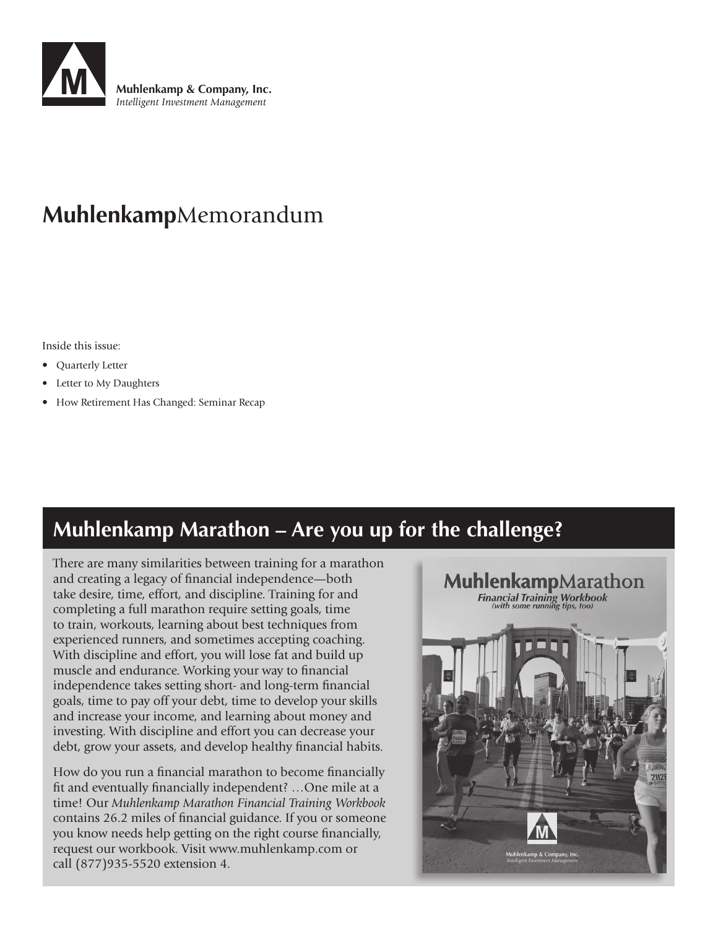

## **Muhlenkamp**Memorandum

Inside this issue:

- Quarterly Letter
- Letter to My Daughters
- How Retirement Has Changed: Seminar Recap

## **Muhlenkamp Marathon – Are you up for the challenge?**

There are many similarities between training for a marathon and creating a legacy of financial independence—both take desire, time, effort, and discipline. Training for and completing a full marathon require setting goals, time to train, workouts, learning about best techniques from experienced runners, and sometimes accepting coaching. With discipline and effort, you will lose fat and build up muscle and endurance. Working your way to financial independence takes setting short- and long-term financial goals, time to pay off your debt, time to develop your skills and increase your income, and learning about money and investing. With discipline and effort you can decrease your debt, grow your assets, and develop healthy financial habits.

How do you run a financial marathon to become financially fit and eventually financially independent? …One mile at a time! Our *Muhlenkamp Marathon Financial Training Workbook* contains 26.2 miles of financial guidance. If you or someone you know needs help getting on the right course financially, request our workbook. Visit www.muhlenkamp.com or call (877)935-5520 extension 4.

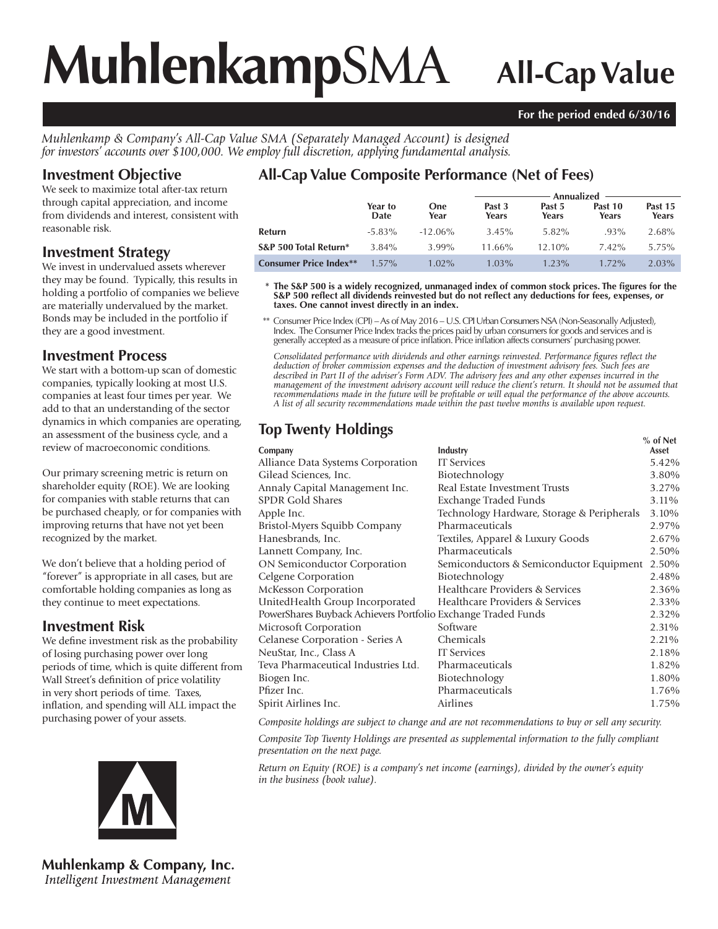# **Muhlenkamp**SMA **All-Cap Value**

#### **For the period ended 6/30/16**

*Muhlenkamp & Company's All-Cap Value SMA (Separately Managed Account) is designed for investors' accounts over \$100,000. We employ full discretion, applying fundamental analysis.*

#### **Investment Objective**

We seek to maximize total after-tax return through capital appreciation, and income from dividends and interest, consistent with reasonable risk.

#### **Investment Strategy**

We invest in undervalued assets wherever they may be found. Typically, this results in holding a portfolio of companies we believe are materially undervalued by the market. Bonds may be included in the portfolio if they are a good investment.

#### **Investment Process**

We start with a bottom-up scan of domestic companies, typically looking at most U.S. companies at least four times per year. We add to that an understanding of the sector dynamics in which companies are operating, an assessment of the business cycle, and a review of macroeconomic conditions.

Our primary screening metric is return on shareholder equity (ROE). We are looking for companies with stable returns that can be purchased cheaply, or for companies with improving returns that have not yet been recognized by the market.

We don't believe that a holding period of "forever" is appropriate in all cases, but are comfortable holding companies as long as they continue to meet expectations.

#### **Investment Risk**

We define investment risk as the probability of losing purchasing power over long periods of time, which is quite different from Wall Street's definition of price volatility in very short periods of time. Taxes, inflation, and spending will ALL impact the purchasing power of your assets.



**Muhlenkamp & Company, Inc.** Intelligent Investment Management

### **All-Cap Value Composite Performance (Net of Fees)**

|                               |                 |                    | Annualized      |                 |                  |                  |  |
|-------------------------------|-----------------|--------------------|-----------------|-----------------|------------------|------------------|--|
|                               | Year to<br>Date | <b>One</b><br>Year | Past 3<br>Years | Past 5<br>Years | Past 10<br>Years | Past 15<br>Years |  |
| Refurn                        | $-5.83\%$       | $-12.06\%$         | 3.45%           | 5.82%           | $.93\%$          | 2.68%            |  |
| S&P 500 Total Return*         | 3.84%           | 3.99%              | $11.66\%$       | $12.10\%$       | $7.42\%$         | 5.75%            |  |
| <b>Consumer Price Index**</b> | $1.57\%$        | $1.02\%$           | $1.03\%$        | $1.23\%$        | $1.72\%$         | 2.03%            |  |

\* The S&P 500 is a widely recognized, unmanaged index of common stock prices. The figures for the S&P 500 reflect all dividends reinvested but do not reflect any deductions for fees, expenses, or **taxes. One cannot invest directly in an index.**

 \*\* Consumer Price Index (CPI) – As of May 2016 – U.S. CPI Urban Consumers NSA (Non-Seasonally Adjusted), Index. The Consumer Price Index tracks the prices paid by urban consumers for goods and services and is generally accepted as a measure of price infl ation. Price infl ation affects consumers' purchasing power.

Consolidated performance with dividends and other earnings reinvested. Performance figures reflect the *deduction of broker commission expenses and the deduction of investment advisory fees. Such fees are described in Part II of the adviser's Form ADV. The advisory fees and any other expenses incurred in the*  management of the investment advisory account will reduce the client's return. It should not be assumed that *recommendations made in the future will be profi table or will equal the performance of the above accounts. A list of all security recommendations made within the past twelve months is available upon request.*

### **Top Twenty Holdings**

|                                                               |                                            | $%$ of Net |
|---------------------------------------------------------------|--------------------------------------------|------------|
| Company                                                       | Industry                                   | Asset      |
| Alliance Data Systems Corporation                             | <b>IT</b> Services                         | 5.42%      |
| Gilead Sciences, Inc.                                         | Biotechnology                              | 3.80%      |
| Annaly Capital Management Inc.                                | Real Estate Investment Trusts              | 3.27%      |
| <b>SPDR Gold Shares</b>                                       | Exchange Traded Funds                      | 3.11%      |
| Apple Inc.                                                    | Technology Hardware, Storage & Peripherals | 3.10%      |
| Bristol-Myers Squibb Company                                  | Pharmaceuticals                            | 2.97%      |
| Hanesbrands, Inc.                                             | Textiles, Apparel & Luxury Goods           | 2.67%      |
| Lannett Company, Inc.                                         | Pharmaceuticals                            | 2.50%      |
| <b>ON Semiconductor Corporation</b>                           | Semiconductors & Semiconductor Equipment   | 2.50%      |
| Celgene Corporation                                           | Biotechnology                              | 2.48%      |
| McKesson Corporation                                          | Healthcare Providers & Services            | 2.36%      |
| UnitedHealth Group Incorporated                               | Healthcare Providers & Services            | 2.33%      |
| PowerShares Buyback Achievers Portfolio Exchange Traded Funds |                                            | 2.32%      |
| Microsoft Corporation                                         | Software                                   | 2.31%      |
| Celanese Corporation - Series A                               | Chemicals                                  | 2.21%      |
| NeuStar, Inc., Class A                                        | <b>IT</b> Services                         | 2.18%      |
| Teva Pharmaceutical Industries Ltd.                           | Pharmaceuticals                            | 1.82%      |
| Biogen Inc.                                                   | Biotechnology                              | 1.80%      |
| Pfizer Inc.                                                   | Pharmaceuticals                            | 1.76%      |
| Spirit Airlines Inc.                                          | Airlines                                   | 1.75%      |
|                                                               |                                            |            |

*Composite holdings are subject to change and are not recommendations to buy or sell any security.*

*Composite Top Twenty Holdings are presented as supplemental information to the fully compliant presentation on the next page.*

*Return on Equity (ROE) is a company's net income (earnings), divided by the owner's equity in the business (book value).*